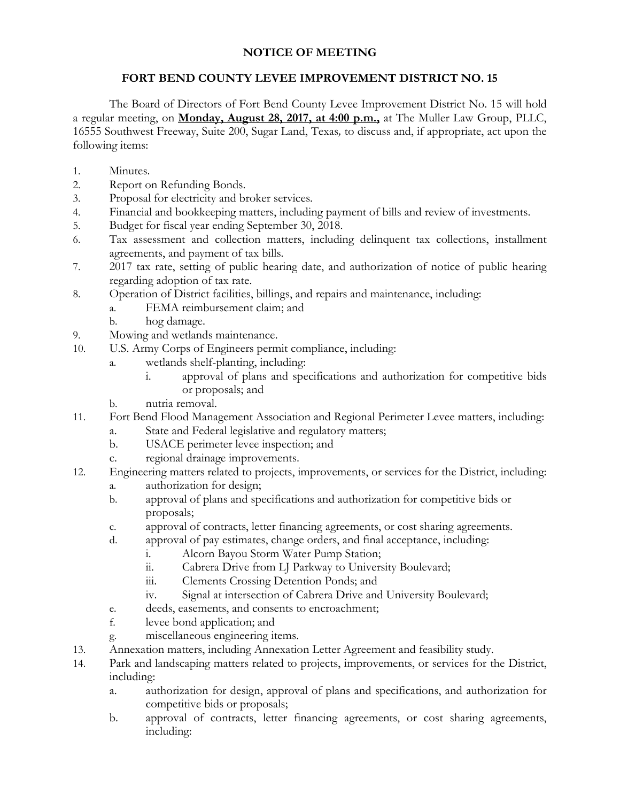## **NOTICE OF MEETING**

## **FORT BEND COUNTY LEVEE IMPROVEMENT DISTRICT NO. 15**

The Board of Directors of Fort Bend County Levee Improvement District No. 15 will hold a regular meeting, on **Monday, August 28, 2017, at 4:00 p.m.,** at The Muller Law Group, PLLC, 16555 Southwest Freeway, Suite 200, Sugar Land, Texas*,* to discuss and, if appropriate, act upon the following items:

- 1. Minutes.
- 2. Report on Refunding Bonds.
- 3. Proposal for electricity and broker services.
- 4. Financial and bookkeeping matters, including payment of bills and review of investments.
- 5. Budget for fiscal year ending September 30, 2018.
- 6. Tax assessment and collection matters, including delinquent tax collections, installment agreements, and payment of tax bills.
- 7. 2017 tax rate, setting of public hearing date, and authorization of notice of public hearing regarding adoption of tax rate.
- 8. Operation of District facilities, billings, and repairs and maintenance, including:
	- a. FEMA reimbursement claim; and
	- b. hog damage.
- 9. Mowing and wetlands maintenance.
- 10. U.S. Army Corps of Engineers permit compliance, including:
	- a. wetlands shelf-planting, including:
		- i. approval of plans and specifications and authorization for competitive bids or proposals; and
	- b. nutria removal.
- 11. Fort Bend Flood Management Association and Regional Perimeter Levee matters, including:
	- a. State and Federal legislative and regulatory matters;
		- b. USACE perimeter levee inspection; and
		- c. regional drainage improvements.
- 12. Engineering matters related to projects, improvements, or services for the District, including:
	- a. authorization for design;
	- b. approval of plans and specifications and authorization for competitive bids or proposals;
	- c. approval of contracts, letter financing agreements, or cost sharing agreements.
	- d. approval of pay estimates, change orders, and final acceptance, including:
		- i. Alcorn Bayou Storm Water Pump Station;
		- ii. Cabrera Drive from LJ Parkway to University Boulevard;
		- iii. Clements Crossing Detention Ponds; and
		- iv. Signal at intersection of Cabrera Drive and University Boulevard;
	- e. deeds, easements, and consents to encroachment;
	- f. levee bond application; and
	- g. miscellaneous engineering items.
- 13. Annexation matters, including Annexation Letter Agreement and feasibility study.
- 14. Park and landscaping matters related to projects, improvements, or services for the District, including:
	- a. authorization for design, approval of plans and specifications, and authorization for competitive bids or proposals;
	- b. approval of contracts, letter financing agreements, or cost sharing agreements, including: